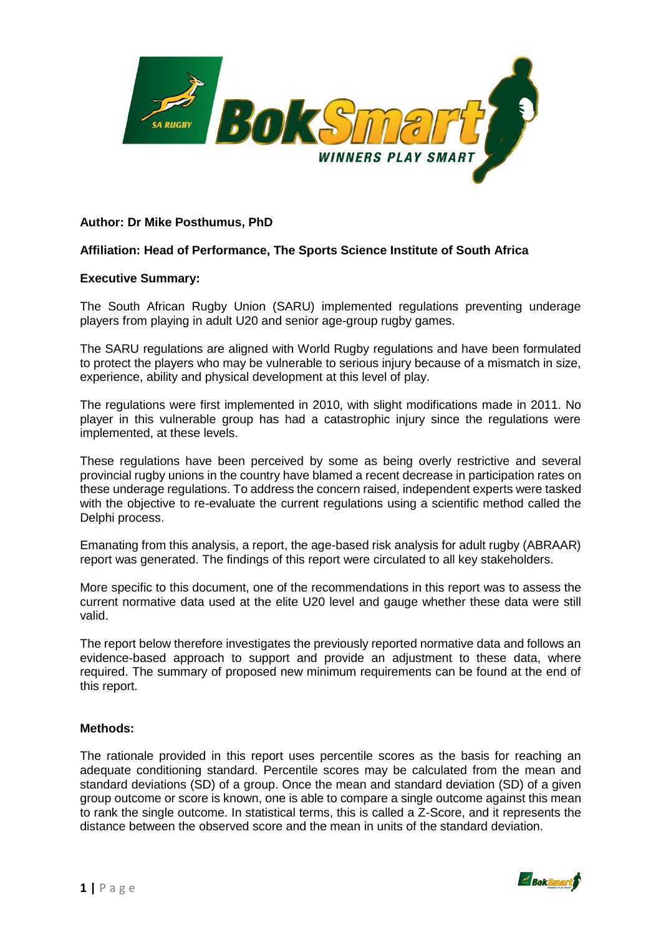

## **Author: Dr Mike Posthumus, PhD**

### **Affiliation: Head of Performance, The Sports Science Institute of South Africa**

#### **Executive Summary:**

The South African Rugby Union (SARU) implemented regulations preventing underage players from playing in adult U20 and senior age-group rugby games.

The SARU regulations are aligned with World Rugby regulations and have been formulated to protect the players who may be vulnerable to serious injury because of a mismatch in size, experience, ability and physical development at this level of play.

The regulations were first implemented in 2010, with slight modifications made in 2011. No player in this vulnerable group has had a catastrophic injury since the regulations were implemented, at these levels.

These regulations have been perceived by some as being overly restrictive and several provincial rugby unions in the country have blamed a recent decrease in participation rates on these underage regulations. To address the concern raised, independent experts were tasked with the objective to re-evaluate the current regulations using a scientific method called the Delphi process.

Emanating from this analysis, a report, the age-based risk analysis for adult rugby (ABRAAR) report was generated. The findings of this report were circulated to all key stakeholders.

More specific to this document, one of the recommendations in this report was to assess the current normative data used at the elite U20 level and gauge whether these data were still valid.

The report below therefore investigates the previously reported normative data and follows an evidence-based approach to support and provide an adjustment to these data, where required. The summary of proposed new minimum requirements can be found at the end of this report.

#### **Methods:**

The rationale provided in this report uses percentile scores as the basis for reaching an adequate conditioning standard. Percentile scores may be calculated from the mean and standard deviations (SD) of a group. Once the mean and standard deviation (SD) of a given group outcome or score is known, one is able to compare a single outcome against this mean to rank the single outcome. In statistical terms, this is called a Z-Score, and it represents the distance between the observed score and the mean in units of the standard deviation.

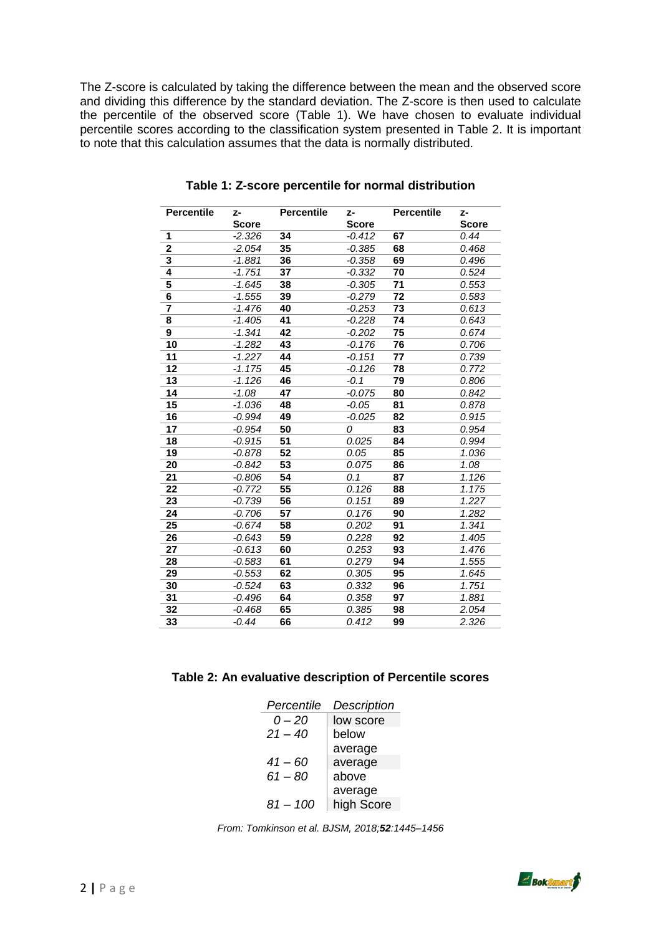The Z-score is calculated by taking the difference between the mean and the observed score and dividing this difference by the standard deviation. The Z-score is then used to calculate the percentile of the observed score (Table 1). We have chosen to evaluate individual percentile scores according to the classification system presented in Table 2. It is important to note that this calculation assumes that the data is normally distributed.

| <b>Percentile</b>       | z-           | <b>Percentile</b> | z-           | <b>Percentile</b> | z-           |
|-------------------------|--------------|-------------------|--------------|-------------------|--------------|
|                         | <b>Score</b> |                   | <b>Score</b> |                   | <b>Score</b> |
| 1                       | $-2.326$     | 34                | $-0.412$     | 67                | 0.44         |
| $\mathbf{2}$            | -2.054       | 35                | $-0.385$     | 68                | 0.468        |
| 3                       | -1.881       | 36                | $-0.358$     | 69                | 0.496        |
| 4                       | -1.751       | 37                | $-0.332$     | 70                | 0.524        |
| 5                       | $-1.645$     | 38                | $-0.305$     | 71                | 0.553        |
| 6                       | $-1.555$     | 39                | $-0.279$     | 72                | 0.583        |
| $\overline{\mathbf{7}}$ | $-1.476$     | 40                | $-0.253$     | 73                | 0.613        |
| 8                       | $-1.405$     | 41                | $-0.228$     | 74                | 0.643        |
| 9                       | $-1.341$     | 42                | $-0.202$     | 75                | 0.674        |
| 10                      | $-1.282$     | 43                | $-0.176$     | 76                | 0.706        |
| 11                      | $-1.227$     | 44                | $-0.151$     | 77                | 0.739        |
| 12                      | $-1.175$     | 45                | $-0.126$     | 78                | 0.772        |
| 13                      | $-1.126$     | 46                | $-0.1$       | 79                | 0.806        |
| 14                      | $-1.08$      | 47                | $-0.075$     | 80                | 0.842        |
| 15                      | $-1.036$     | 48                | $-0.05$      | 81                | 0.878        |
| 16                      | $-0.994$     | 49                | $-0.025$     | 82                | 0.915        |
| 17                      | $-0.954$     | 50                | 0            | 83                | 0.954        |
| 18                      | $-0.915$     | 51                | 0.025        | 84                | 0.994        |
| 19                      | $-0.878$     | 52                | 0.05         | 85                | 1.036        |
| 20                      | $-0.842$     | 53                | 0.075        | 86                | 1.08         |
| 21                      | $-0.806$     | 54                | 0.1          | 87                | 1.126        |
| 22                      | $-0.772$     | 55                | 0.126        | 88                | 1.175        |
| 23                      | $-0.739$     | 56                | 0.151        | 89                | 1.227        |
| 24                      | $-0.706$     | 57                | 0.176        | 90                | 1.282        |
| 25                      | $-0.674$     | 58                | 0.202        | 91                | 1.341        |
| 26                      | $-0.643$     | 59                | 0.228        | 92                | 1.405        |
| 27                      | $-0.613$     | 60                | 0.253        | 93                | 1.476        |
| 28                      | $-0.583$     | 61                | 0.279        | 94                | 1.555        |
| 29                      | $-0.553$     | 62                | 0.305        | 95                | 1.645        |
| 30                      | $-0.524$     | 63                | 0.332        | 96                | 1.751        |
| 31                      | $-0.496$     | 64                | 0.358        | 97                | 1.881        |
| 32                      | $-0.468$     | 65                | 0.385        | 98                | 2.054        |
| 33                      | $-0.44$      | 66                | 0.412        | 99                | 2.326        |
|                         |              |                   |              |                   |              |

**Table 1: Z-score percentile for normal distribution**

## **Table 2: An evaluative description of Percentile scores**

| Percentile | Description |
|------------|-------------|
| 0 – 20     | low score   |
| $21 - 40$  | below       |
|            | average     |
| $41 - 60$  | average     |
| $61 - 80$  | above       |
|            | average     |
| $81 - 100$ | high Score  |

*From: Tomkinson et al. BJSM, 2018;52:1445–1456*

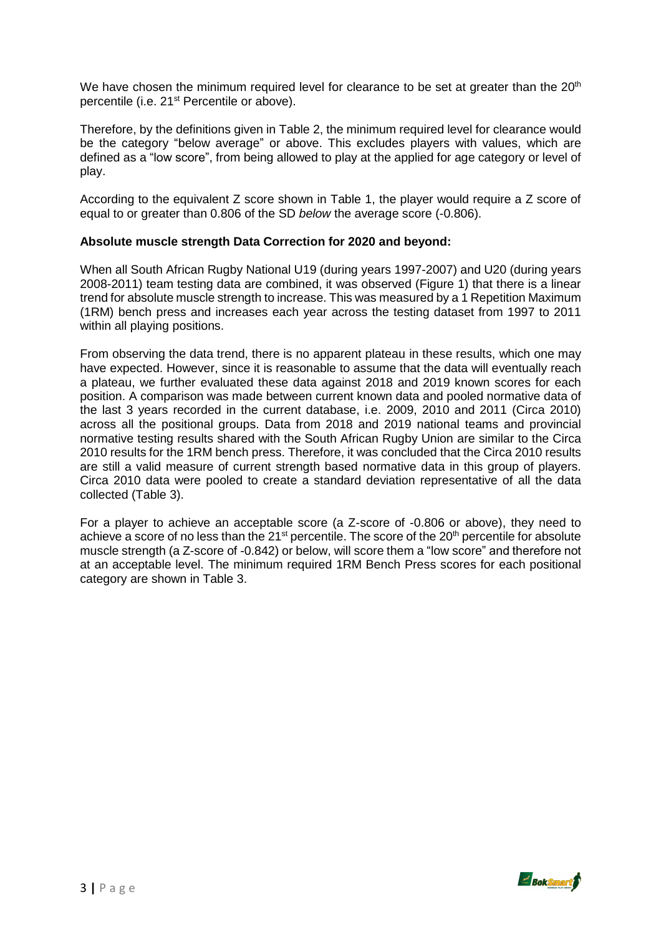We have chosen the minimum required level for clearance to be set at greater than the  $20<sup>th</sup>$ percentile (i.e. 21<sup>st</sup> Percentile or above).

Therefore, by the definitions given in Table 2, the minimum required level for clearance would be the category "below average" or above. This excludes players with values, which are defined as a "low score", from being allowed to play at the applied for age category or level of play.

According to the equivalent Z score shown in Table 1, the player would require a Z score of equal to or greater than 0.806 of the SD *below* the average score (-0.806).

### **Absolute muscle strength Data Correction for 2020 and beyond:**

When all South African Rugby National U19 (during years 1997-2007) and U20 (during years 2008-2011) team testing data are combined, it was observed (Figure 1) that there is a linear trend for absolute muscle strength to increase. This was measured by a 1 Repetition Maximum (1RM) bench press and increases each year across the testing dataset from 1997 to 2011 within all playing positions.

From observing the data trend, there is no apparent plateau in these results, which one may have expected. However, since it is reasonable to assume that the data will eventually reach a plateau, we further evaluated these data against 2018 and 2019 known scores for each position. A comparison was made between current known data and pooled normative data of the last 3 years recorded in the current database, i.e. 2009, 2010 and 2011 (Circa 2010) across all the positional groups. Data from 2018 and 2019 national teams and provincial normative testing results shared with the South African Rugby Union are similar to the Circa 2010 results for the 1RM bench press. Therefore, it was concluded that the Circa 2010 results are still a valid measure of current strength based normative data in this group of players. Circa 2010 data were pooled to create a standard deviation representative of all the data collected (Table 3).

For a player to achieve an acceptable score (a Z-score of -0.806 or above), they need to achieve a score of no less than the 21<sup>st</sup> percentile. The score of the 20<sup>th</sup> percentile for absolute muscle strength (a Z-score of -0.842) or below, will score them a "low score" and therefore not at an acceptable level. The minimum required 1RM Bench Press scores for each positional category are shown in Table 3.

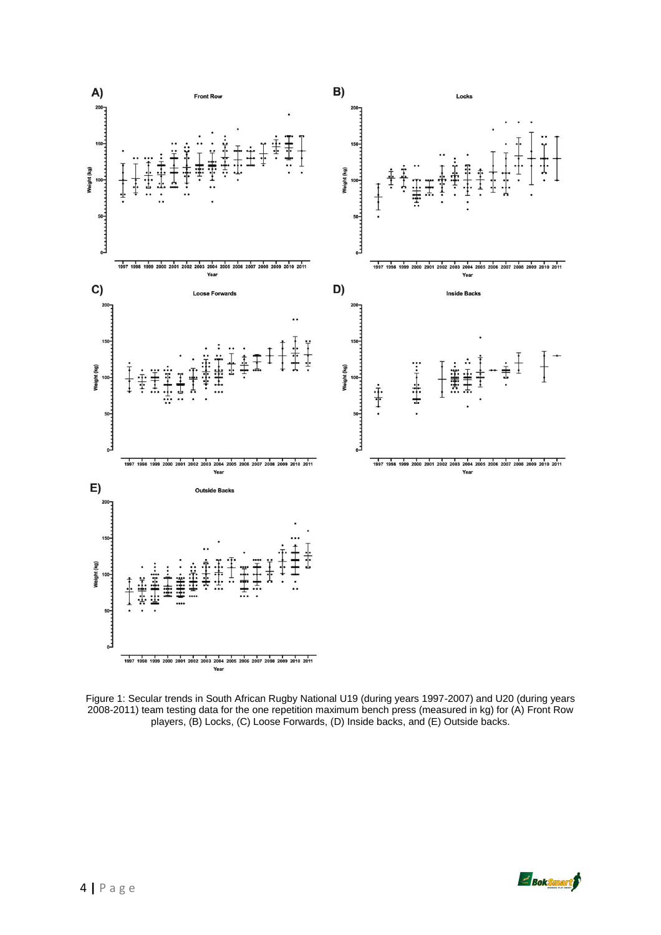

Figure 1: Secular trends in South African Rugby National U19 (during years 1997-2007) and U20 (during years 2008-2011) team testing data for the one repetition maximum bench press (measured in kg) for (A) Front Row players, (B) Locks, (C) Loose Forwards, (D) Inside backs, and (E) Outside backs.

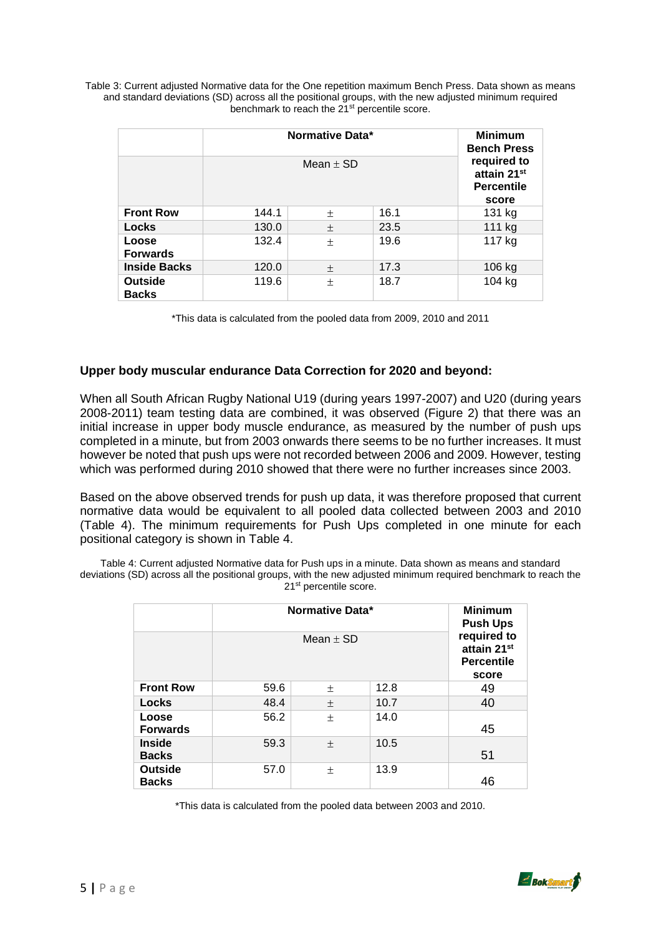Table 3: Current adjusted Normative data for the One repetition maximum Bench Press. Data shown as means and standard deviations (SD) across all the positional groups, with the new adjusted minimum required benchmark to reach the 21<sup>st</sup> percentile score.

|                                | Normative Data* | <b>Minimum</b><br><b>Bench Press</b>                     |      |        |  |
|--------------------------------|-----------------|----------------------------------------------------------|------|--------|--|
|                                |                 | required to<br>attain 21st<br><b>Percentile</b><br>score |      |        |  |
| <b>Front Row</b>               | 144.1           | $\pm$                                                    | 16.1 | 131 kg |  |
| Locks                          | 130.0           | $\pm$                                                    | 23.5 | 111 kg |  |
| Loose<br><b>Forwards</b>       | 132.4           | $\pm$                                                    | 19.6 | 117 kg |  |
| <b>Inside Backs</b>            | 120.0           | 土                                                        | 17.3 | 106 kg |  |
| <b>Outside</b><br><b>Backs</b> | 119.6           | 士                                                        | 18.7 | 104 kg |  |

\*This data is calculated from the pooled data from 2009, 2010 and 2011

## **Upper body muscular endurance Data Correction for 2020 and beyond:**

When all South African Rugby National U19 (during years 1997-2007) and U20 (during years 2008-2011) team testing data are combined, it was observed (Figure 2) that there was an initial increase in upper body muscle endurance, as measured by the number of push ups completed in a minute, but from 2003 onwards there seems to be no further increases. It must however be noted that push ups were not recorded between 2006 and 2009. However, testing which was performed during 2010 showed that there were no further increases since 2003.

Based on the above observed trends for push up data, it was therefore proposed that current normative data would be equivalent to all pooled data collected between 2003 and 2010 (Table 4). The minimum requirements for Push Ups completed in one minute for each positional category is shown in Table 4.

Table 4: Current adjusted Normative data for Push ups in a minute. Data shown as means and standard deviations (SD) across all the positional groups, with the new adjusted minimum required benchmark to reach the 21<sup>st</sup> percentile score.

|                                | Normative Data* | <b>Minimum</b><br><b>Push Ups</b><br>required to<br>attain 21 <sup>st</sup><br><b>Percentile</b> |      |    |  |  |  |
|--------------------------------|-----------------|--------------------------------------------------------------------------------------------------|------|----|--|--|--|
|                                |                 |                                                                                                  |      |    |  |  |  |
| <b>Front Row</b>               | 59.6            | $\pm$                                                                                            | 12.8 | 49 |  |  |  |
| <b>Locks</b>                   | 48.4            | $\pm$                                                                                            | 10.7 | 40 |  |  |  |
| Loose<br><b>Forwards</b>       | 56.2            | 士                                                                                                | 14.0 | 45 |  |  |  |
| <b>Inside</b><br><b>Backs</b>  | 59.3            | $\pm$                                                                                            | 10.5 | 51 |  |  |  |
| <b>Outside</b><br><b>Backs</b> | 57.0            | $\pm$                                                                                            | 13.9 | 46 |  |  |  |

\*This data is calculated from the pooled data between 2003 and 2010.

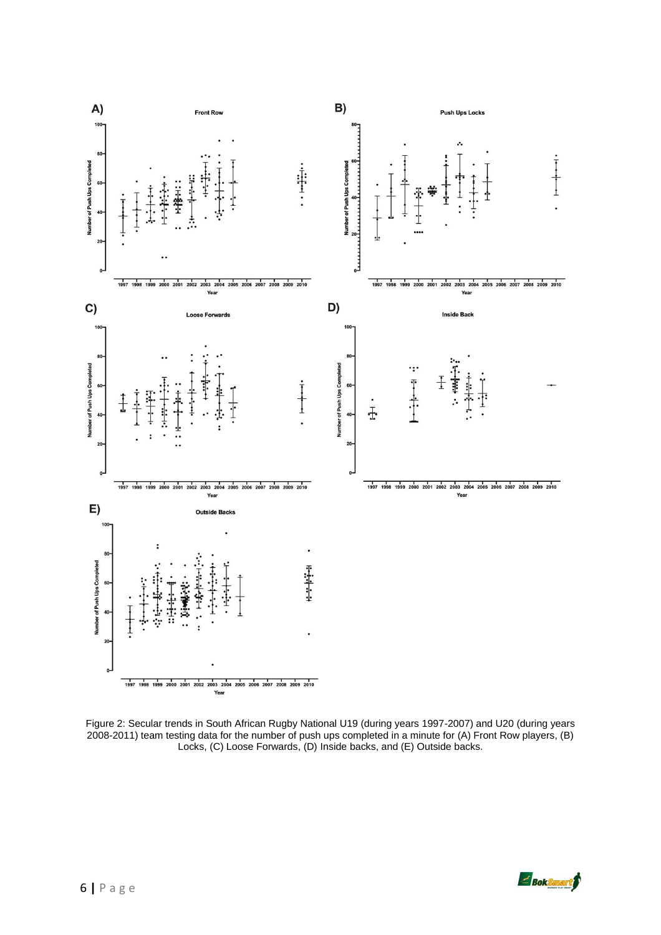

Figure 2: Secular trends in South African Rugby National U19 (during years 1997-2007) and U20 (during years 2008-2011) team testing data for the number of push ups completed in a minute for (A) Front Row players, (B) Locks, (C) Loose Forwards, (D) Inside backs, and (E) Outside backs.

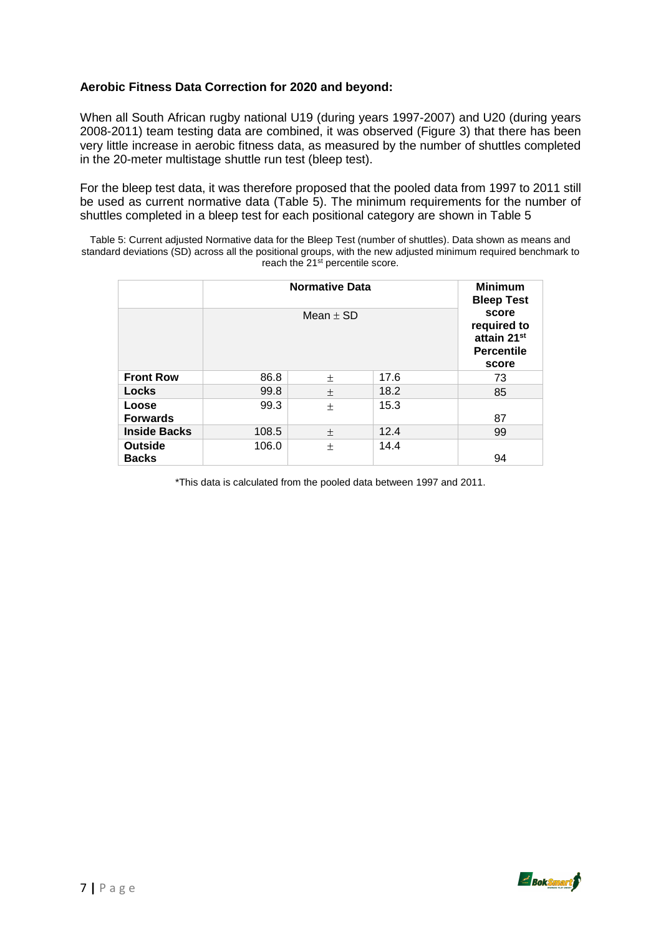## **Aerobic Fitness Data Correction for 2020 and beyond:**

When all South African rugby national U19 (during years 1997-2007) and U20 (during years 2008-2011) team testing data are combined, it was observed (Figure 3) that there has been very little increase in aerobic fitness data, as measured by the number of shuttles completed in the 20-meter multistage shuttle run test (bleep test).

For the bleep test data, it was therefore proposed that the pooled data from 1997 to 2011 still be used as current normative data (Table 5). The minimum requirements for the number of shuttles completed in a bleep test for each positional category are shown in Table 5

Table 5: Current adjusted Normative data for the Bleep Test (number of shuttles). Data shown as means and standard deviations (SD) across all the positional groups, with the new adjusted minimum required benchmark to reach the 21<sup>st</sup> percentile score.

| <b>Normative Data</b>          |       |                                                                   |      |    |  |
|--------------------------------|-------|-------------------------------------------------------------------|------|----|--|
|                                |       | <b>Minimum</b><br><b>Bleep Test</b>                               |      |    |  |
|                                |       | score<br>required to<br>attain 21st<br><b>Percentile</b><br>score |      |    |  |
| <b>Front Row</b>               | 86.8  | 士                                                                 | 17.6 | 73 |  |
| Locks                          | 99.8  | $\pm$                                                             | 18.2 | 85 |  |
| Loose<br><b>Forwards</b>       | 99.3  | $\pm$                                                             | 15.3 | 87 |  |
| <b>Inside Backs</b>            | 108.5 | $\pm$                                                             | 12.4 | 99 |  |
| <b>Outside</b><br><b>Backs</b> | 106.0 | 士                                                                 | 14.4 | 94 |  |

\*This data is calculated from the pooled data between 1997 and 2011.

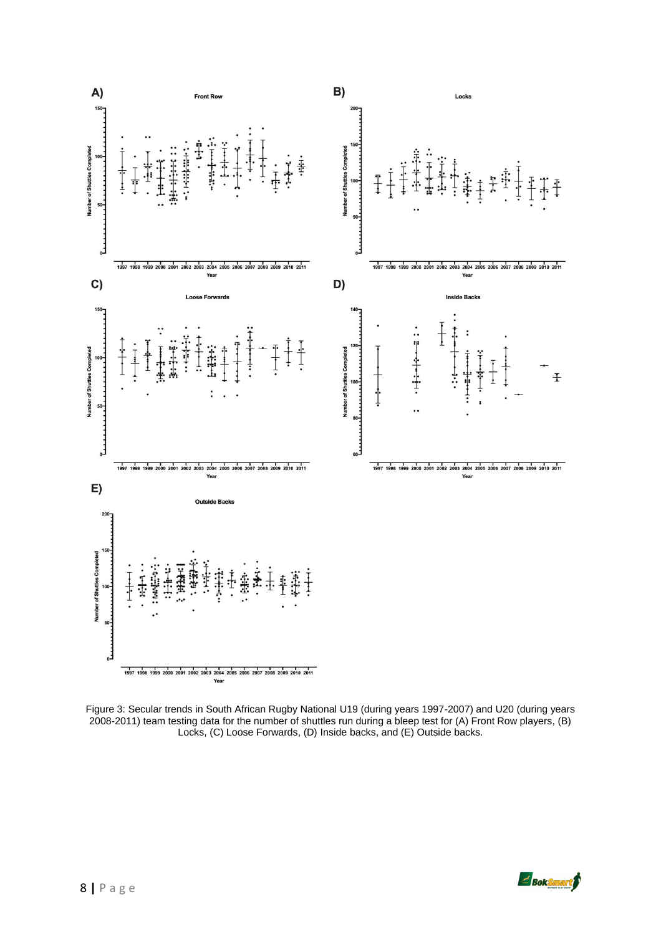

Figure 3: Secular trends in South African Rugby National U19 (during years 1997-2007) and U20 (during years 2008-2011) team testing data for the number of shuttles run during a bleep test for (A) Front Row players, (B) Locks, (C) Loose Forwards, (D) Inside backs, and (E) Outside backs.

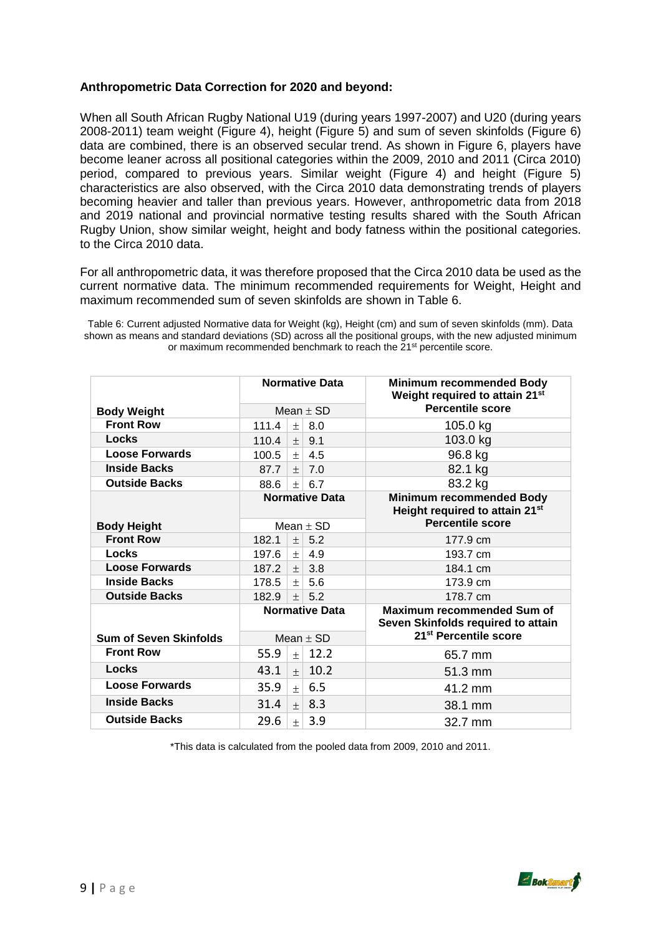## **Anthropometric Data Correction for 2020 and beyond:**

When all South African Rugby National U19 (during years 1997-2007) and U20 (during years 2008-2011) team weight (Figure 4), height (Figure 5) and sum of seven skinfolds (Figure 6) data are combined, there is an observed secular trend. As shown in Figure 6, players have become leaner across all positional categories within the 2009, 2010 and 2011 (Circa 2010) period, compared to previous years. Similar weight (Figure 4) and height (Figure 5) characteristics are also observed, with the Circa 2010 data demonstrating trends of players becoming heavier and taller than previous years. However, anthropometric data from 2018 and 2019 national and provincial normative testing results shared with the South African Rugby Union, show similar weight, height and body fatness within the positional categories. to the Circa 2010 data.

For all anthropometric data, it was therefore proposed that the Circa 2010 data be used as the current normative data. The minimum recommended requirements for Weight, Height and maximum recommended sum of seven skinfolds are shown in Table 6.

Table 6: Current adjusted Normative data for Weight (kg), Height (cm) and sum of seven skinfolds (mm). Data shown as means and standard deviations (SD) across all the positional groups, with the new adjusted minimum or maximum recommended benchmark to reach the 21st percentile score.

|                               | <b>Normative Data</b> |        |               | <b>Minimum recommended Body</b><br>Weight required to attain 21st       |
|-------------------------------|-----------------------|--------|---------------|-------------------------------------------------------------------------|
| <b>Body Weight</b>            | Mean $\pm$ SD         |        |               | <b>Percentile score</b>                                                 |
| <b>Front Row</b>              | 111.4                 | $\pm$  | 8.0           | 105.0 kg                                                                |
| Locks                         | 110.4                 | $\pm$  | 9.1           | 103.0 kg                                                                |
| <b>Loose Forwards</b>         | 100.5                 | $+$    | 4.5           | 96.8 kg                                                                 |
| <b>Inside Backs</b>           | 87.7                  | $+$    | 7.0           | 82.1 kg                                                                 |
| <b>Outside Backs</b>          | 88.6                  | $+$    | 6.7           | 83.2 kg                                                                 |
|                               | <b>Normative Data</b> |        |               | <b>Minimum recommended Body</b><br>Height required to attain 21st       |
| <b>Body Height</b>            |                       |        | Mean $\pm$ SD | <b>Percentile score</b>                                                 |
| <b>Front Row</b>              | 182.1                 | $^{+}$ | 5.2           | 177.9 cm                                                                |
| Locks                         | 197.6                 | $\pm$  | 4.9           | 193.7 cm                                                                |
| <b>Loose Forwards</b>         | 187.2                 | $^{+}$ | 3.8           | 184.1 cm                                                                |
| <b>Inside Backs</b>           | 178.5                 | $+$    | 5.6           | 173.9 cm                                                                |
| <b>Outside Backs</b>          | 182.9                 | $+$    | 5.2           | 178.7 cm                                                                |
|                               | <b>Normative Data</b> |        |               | <b>Maximum recommended Sum of</b><br>Seven Skinfolds required to attain |
| <b>Sum of Seven Skinfolds</b> | Mean $\pm$ SD         |        |               | 21 <sup>st</sup> Percentile score                                       |
| <b>Front Row</b>              | 55.9                  | $+$    | 12.2          | 65.7 mm                                                                 |
| Locks                         | 43.1                  | $+$    | 10.2          | 51.3 mm                                                                 |
| <b>Loose Forwards</b>         | 35.9                  | $+$    | 6.5           | 41.2 mm                                                                 |
| <b>Inside Backs</b>           | 31.4                  | $+$    | 8.3           | 38.1 mm                                                                 |
| <b>Outside Backs</b>          | 29.6                  | $+$    | 3.9           | 32.7 mm                                                                 |

\*This data is calculated from the pooled data from 2009, 2010 and 2011.

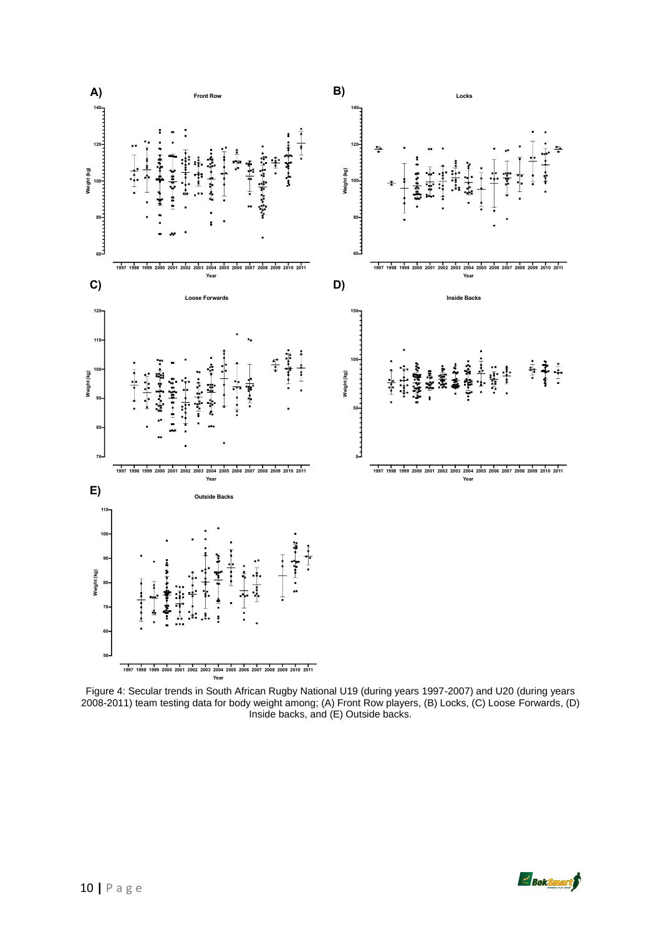

Figure 4: Secular trends in South African Rugby National U19 (during years 1997-2007) and U20 (during years 2008-2011) team testing data for body weight among; (A) Front Row players, (B) Locks, (C) Loose Forwards, (D) Inside backs, and (E) Outside backs.

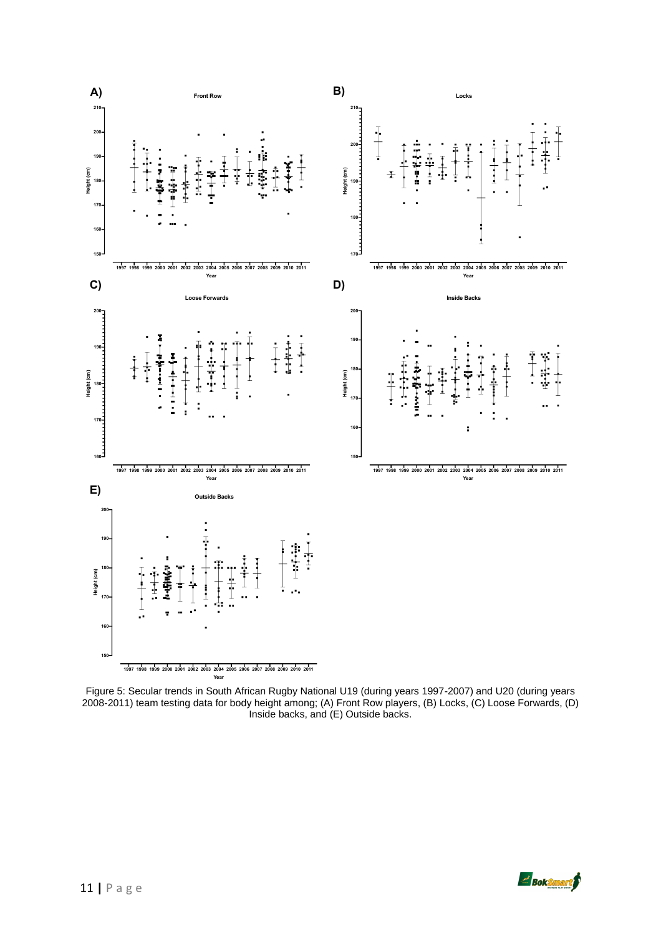

Figure 5: Secular trends in South African Rugby National U19 (during years 1997-2007) and U20 (during years 2008-2011) team testing data for body height among; (A) Front Row players, (B) Locks, (C) Loose Forwards, (D) Inside backs, and (E) Outside backs.

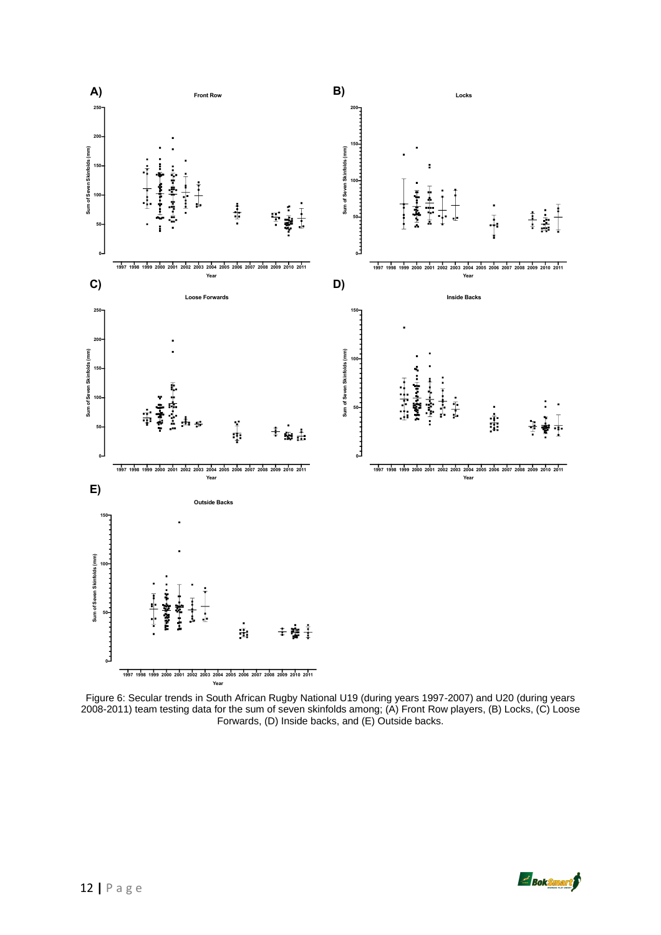

Figure 6: Secular trends in South African Rugby National U19 (during years 1997-2007) and U20 (during years 2008-2011) team testing data for the sum of seven skinfolds among; (A) Front Row players, (B) Locks, (C) Loose Forwards, (D) Inside backs, and (E) Outside backs.